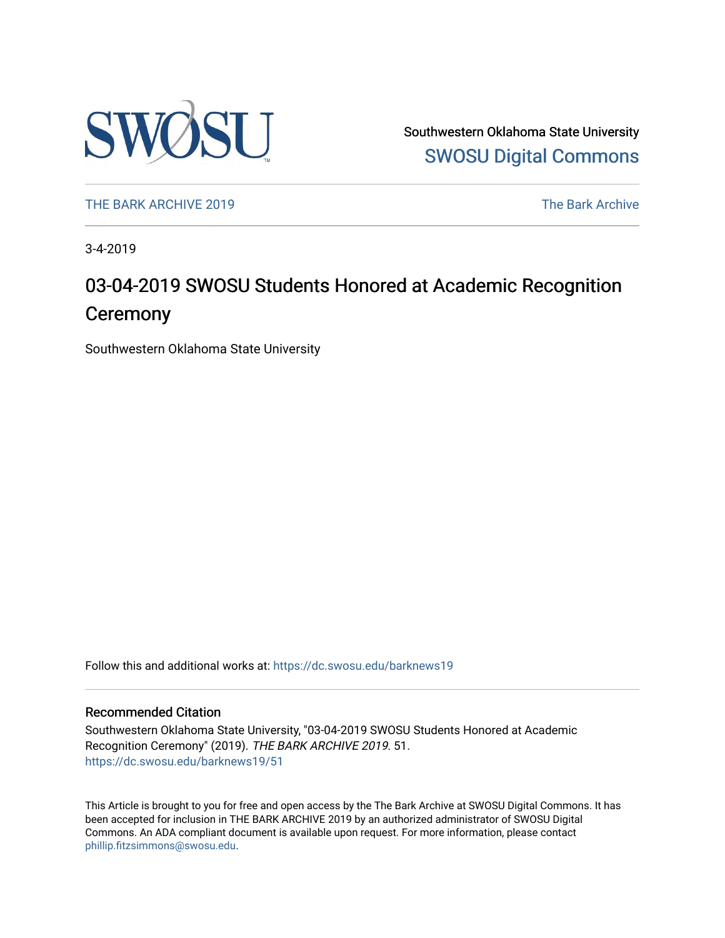

Southwestern Oklahoma State University [SWOSU Digital Commons](https://dc.swosu.edu/) 

[THE BARK ARCHIVE 2019](https://dc.swosu.edu/barknews19) The Bark Archive

3-4-2019

# 03-04-2019 SWOSU Students Honored at Academic Recognition **Ceremony**

Southwestern Oklahoma State University

Follow this and additional works at: [https://dc.swosu.edu/barknews19](https://dc.swosu.edu/barknews19?utm_source=dc.swosu.edu%2Fbarknews19%2F51&utm_medium=PDF&utm_campaign=PDFCoverPages)

#### Recommended Citation

Southwestern Oklahoma State University, "03-04-2019 SWOSU Students Honored at Academic Recognition Ceremony" (2019). THE BARK ARCHIVE 2019. 51. [https://dc.swosu.edu/barknews19/51](https://dc.swosu.edu/barknews19/51?utm_source=dc.swosu.edu%2Fbarknews19%2F51&utm_medium=PDF&utm_campaign=PDFCoverPages) 

This Article is brought to you for free and open access by the The Bark Archive at SWOSU Digital Commons. It has been accepted for inclusion in THE BARK ARCHIVE 2019 by an authorized administrator of SWOSU Digital Commons. An ADA compliant document is available upon request. For more information, please contact [phillip.fitzsimmons@swosu.edu](mailto:phillip.fitzsimmons@swosu.edu).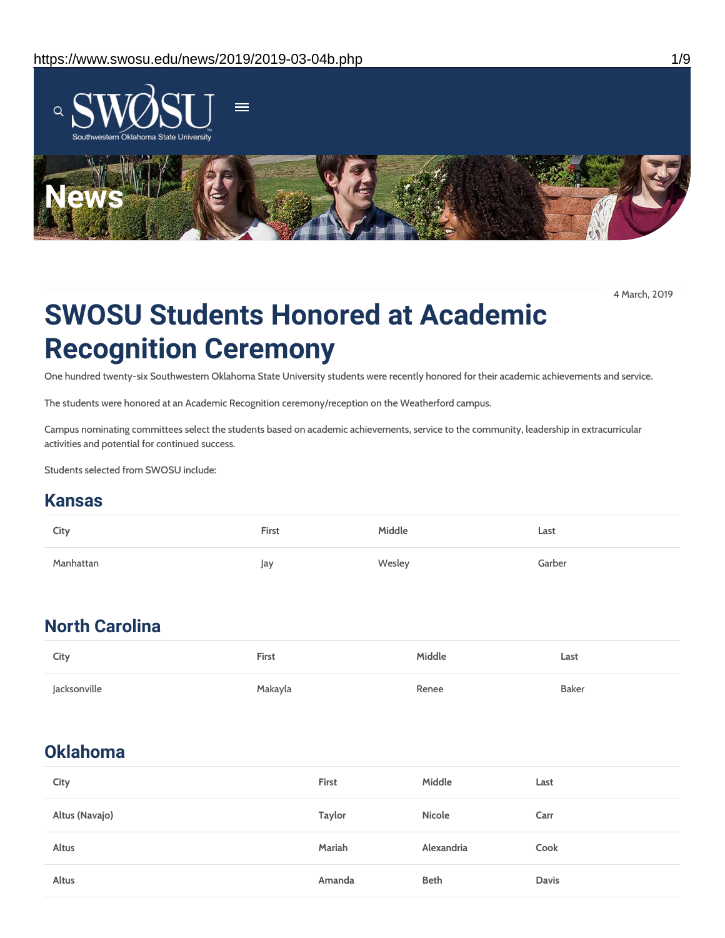

4 March, 2019

# **SWOSU Students Honored at Academic Recognition Ceremony**

One hundred twenty-six Southwestern Oklahoma State University students were recently honored for their academic achievements and service.

The students were honored at an Academic Recognition ceremony/reception on the Weatherford campus.

Campus nominating committees select the students based on academic achievements, service to the community, leadership in extracurricular activities and potential for continued success.

Students selected from SWOSU include:

#### **Kansas**

| City      | First | Middle | Last   |
|-----------|-------|--------|--------|
| Manhattan | Jay   | Wesley | Garber |

### **North Carolina**

| City         | First   | Middle | Last  |
|--------------|---------|--------|-------|
| Jacksonville | Makayla | Renee  | Baker |

### **Oklahoma**

| City           | <b>First</b> | Middle     | Last         |
|----------------|--------------|------------|--------------|
| Altus (Navajo) | Taylor       | Nicole     | Carr         |
| Altus          | Mariah       | Alexandria | Cook         |
| Altus          | Amanda       | Beth       | <b>Davis</b> |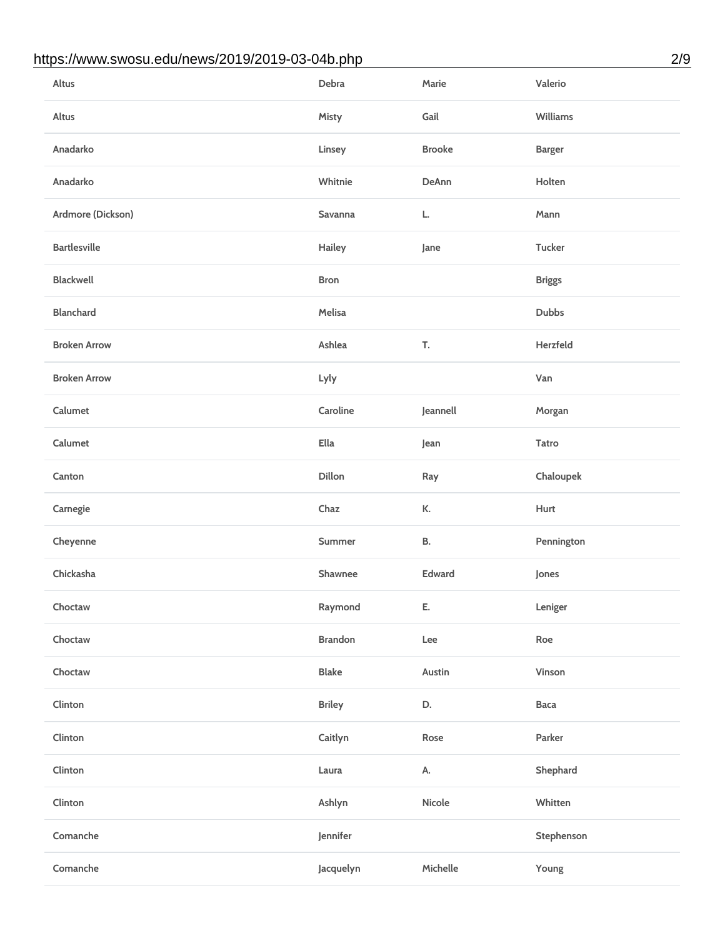#### https://www.swosu.edu/news/2019/2019-03-04b.php 2/9

| Altus               | Debra          | Marie         | Valerio       |
|---------------------|----------------|---------------|---------------|
| Altus               | Misty          | Gail          | Williams      |
| Anadarko            | Linsey         | <b>Brooke</b> | <b>Barger</b> |
| Anadarko            | Whitnie        | DeAnn         | Holten        |
| Ardmore (Dickson)   | Savanna        | L.            | Mann          |
| <b>Bartlesville</b> | Hailey         | Jane          | Tucker        |
| <b>Blackwell</b>    | <b>Bron</b>    |               | <b>Briggs</b> |
| <b>Blanchard</b>    | Melisa         |               | <b>Dubbs</b>  |
| <b>Broken Arrow</b> | Ashlea         | Т.            | Herzfeld      |
| <b>Broken Arrow</b> | Lyly           |               | Van           |
| Calumet             | Caroline       | Jeannell      | Morgan        |
| Calumet             | Ella           | Jean          | Tatro         |
| Canton              | Dillon         | Ray           | Chaloupek     |
| Carnegie            | Chaz           | К.            | Hurt          |
| Cheyenne            | Summer         | В.            | Pennington    |
| Chickasha           | Shawnee        | Edward        | Jones         |
| Choctaw             | Raymond        | Е.            | Leniger       |
| Choctaw             | <b>Brandon</b> | Lee           | Roe           |
| Choctaw             | <b>Blake</b>   | Austin        | Vinson        |
| Clinton             | <b>Briley</b>  | D.            | Baca          |
| Clinton             | Caitlyn        | Rose          | Parker        |
| Clinton             | Laura          | А.            | Shephard      |
| Clinton             | Ashlyn         | Nicole        | Whitten       |
| Comanche            | Jennifer       |               | Stephenson    |
| Comanche            | Jacquelyn      | Michelle      | Young         |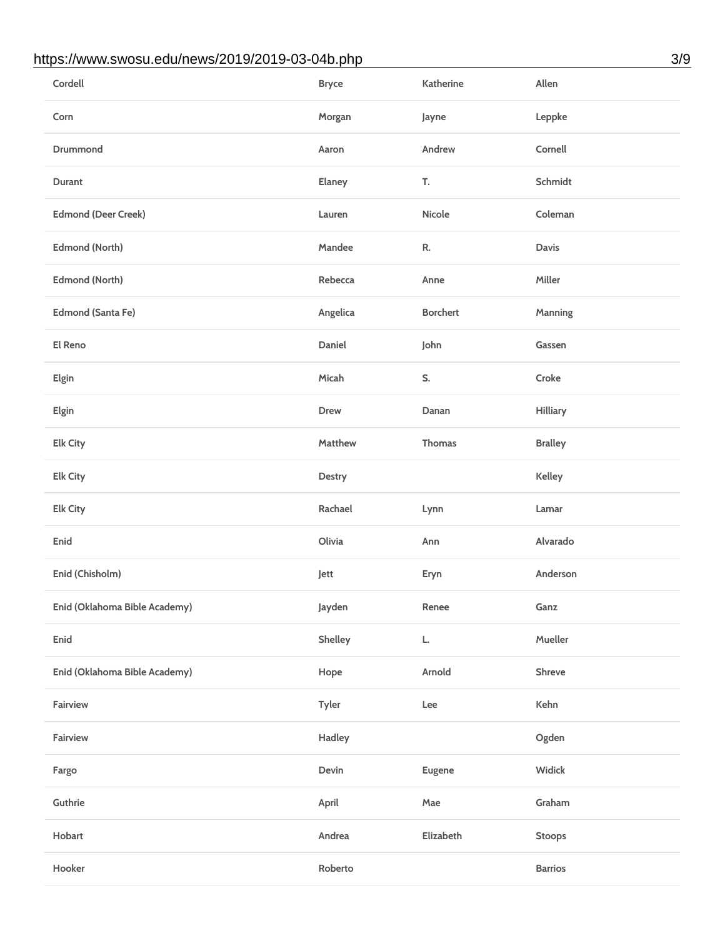#### https://www.swosu.edu/news/2019/2019-03-04b.php 3/9

| Cordell                       | <b>Bryce</b> | Katherine       | Allen          |
|-------------------------------|--------------|-----------------|----------------|
| Corn                          | Morgan       | Jayne           | Leppke         |
| Drummond                      | Aaron        | Andrew          | Cornell        |
| Durant                        | Elaney       | T.              | Schmidt        |
| <b>Edmond (Deer Creek)</b>    | Lauren       | Nicole          | Coleman        |
| Edmond (North)                | Mandee       | R.              | Davis          |
| Edmond (North)                | Rebecca      | Anne            | Miller         |
| <b>Edmond (Santa Fe)</b>      | Angelica     | <b>Borchert</b> | Manning        |
| El Reno                       | Daniel       | John            | Gassen         |
| Elgin                         | Micah        | S.              | Croke          |
| Elgin                         | Drew         | Danan           | Hilliary       |
| <b>Elk City</b>               | Matthew      | Thomas          | <b>Bralley</b> |
| Elk City                      | Destry       |                 | Kelley         |
| Elk City                      | Rachael      | Lynn            | Lamar          |
| Enid                          | Olivia       | Ann             | Alvarado       |
| Enid (Chisholm)               | Jett         | Eryn            | Anderson       |
| Enid (Oklahoma Bible Academy) | Jayden       | Renee           | Ganz           |
| Enid                          | Shelley      | L.              | Mueller        |
| Enid (Oklahoma Bible Academy) | Hope         | Arnold          | Shreve         |
| Fairview                      | Tyler        | Lee             | Kehn           |
| Fairview                      | Hadley       |                 | Ogden          |
| Fargo                         | Devin        | Eugene          | Widick         |
| Guthrie                       | April        | Mae             | Graham         |
| Hobart                        | Andrea       | Elizabeth       | <b>Stoops</b>  |
| Hooker                        | Roberto      |                 | <b>Barrios</b> |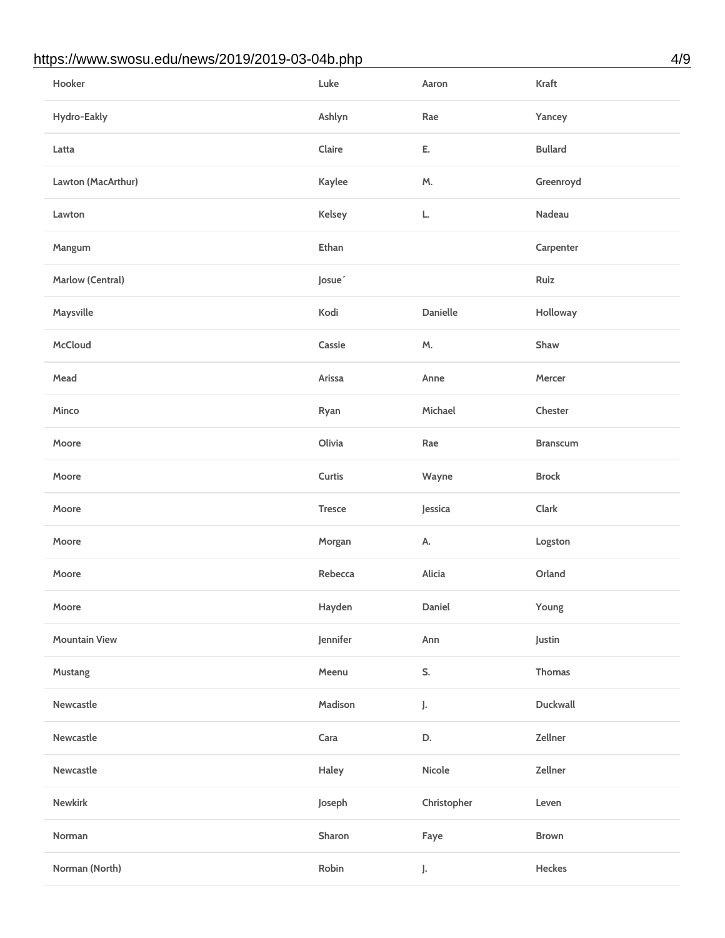#### https://www.swosu.edu/news/2019/2019-03-04b.php 4/9

| Hooker               | Luke               | Aaron           | Kraft           |
|----------------------|--------------------|-----------------|-----------------|
| Hydro-Eakly          | Ashlyn             | Rae             | Yancey          |
| Latta                | Claire             | Ε.              | <b>Bullard</b>  |
| Lawton (MacArthur)   | Kaylee             | M.              | Greenroyd       |
| Lawton               | Kelsey             | L.              | Nadeau          |
| Mangum               | Ethan              |                 | Carpenter       |
| Marlow (Central)     | Josue <sup>-</sup> |                 | Ruiz            |
| Maysville            | Kodi               | <b>Danielle</b> | Holloway        |
| McCloud              | Cassie             | M.              | Shaw            |
| Mead                 | Arissa             | Anne            | Mercer          |
| Minco                | Ryan               | Michael         | Chester         |
| Moore                | Olivia             | Rae             | <b>Branscum</b> |
| Moore                | Curtis             | Wayne           | <b>Brock</b>    |
| Moore                | Tresce             | Jessica         | Clark           |
| Moore                | Morgan             | А.              | Logston         |
| Moore                | Rebecca            | Alicia          | Orland          |
| Moore                | Hayden             | Daniel          | Young           |
| <b>Mountain View</b> | Jennifer           | Ann             | Justin          |
| Mustang              | Meenu              | S.              | Thomas          |
| Newcastle            | Madison            | J.              | <b>Duckwall</b> |
| Newcastle            | Cara               | D.              | Zellner         |
| Newcastle            | Haley              | Nicole          | Zellner         |
| Newkirk              | Joseph             | Christopher     | Leven           |
| Norman               | Sharon             | Faye            | <b>Brown</b>    |
| Norman (North)       | Robin              | J.              | Heckes          |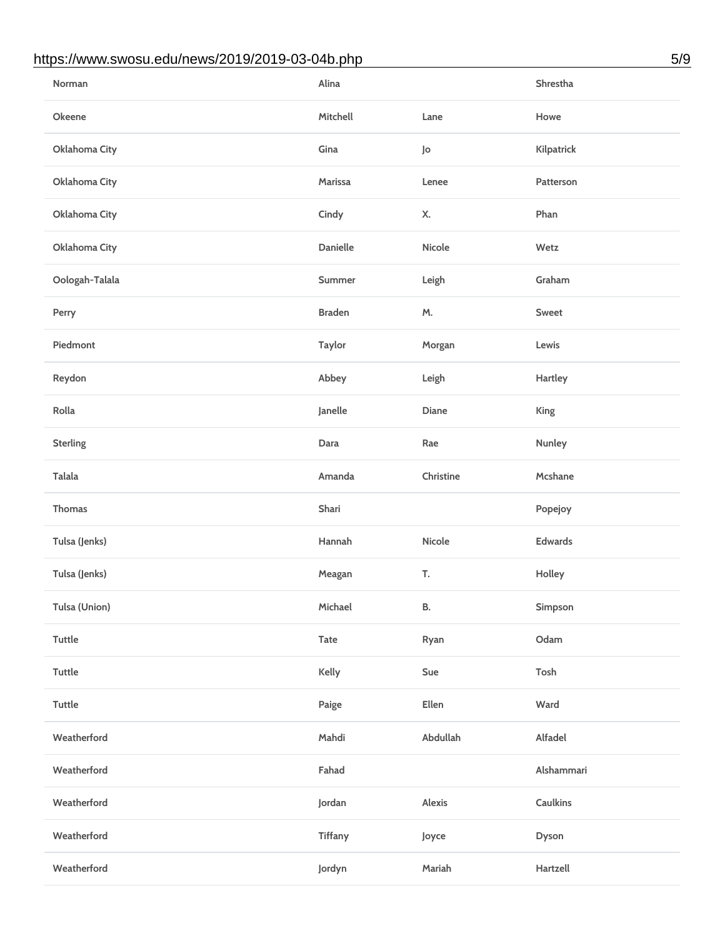#### https://www.swosu.edu/news/2019/2019-03-04b.php 5/9

| Norman          | Alina          |           | Shrestha   |
|-----------------|----------------|-----------|------------|
| Okeene          | Mitchell       | Lane      | Howe       |
| Oklahoma City   | Gina           | Jo        | Kilpatrick |
| Oklahoma City   | Marissa        | Lenee     | Patterson  |
| Oklahoma City   | Cindy          | Χ.        | Phan       |
| Oklahoma City   | Danielle       | Nicole    | Wetz       |
| Oologah-Talala  | Summer         | Leigh     | Graham     |
| Perry           | <b>Braden</b>  | М.        | Sweet      |
| Piedmont        | Taylor         | Morgan    | Lewis      |
| Reydon          | Abbey          | Leigh     | Hartley    |
| Rolla           | Janelle        | Diane     | King       |
| <b>Sterling</b> | Dara           | Rae       | Nunley     |
| <b>Talala</b>   | Amanda         | Christine | Mcshane    |
| Thomas          | Shari          |           | Popejoy    |
| Tulsa (Jenks)   | Hannah         | Nicole    | Edwards    |
| Tulsa (Jenks)   | Meagan         | T.        | Holley     |
| Tulsa (Union)   | Michael        | В.        | Simpson    |
| Tuttle          | Tate           | Ryan      | Odam       |
| Tuttle          | Kelly          | Sue       | Tosh       |
| Tuttle          | Paige          | Ellen     | Ward       |
| Weatherford     | Mahdi          | Abdullah  | Alfadel    |
| Weatherford     | Fahad          |           | Alshammari |
| Weatherford     | Jordan         | Alexis    | Caulkins   |
| Weatherford     | <b>Tiffany</b> | Joyce     | Dyson      |
| Weatherford     | Jordyn         | Mariah    | Hartzell   |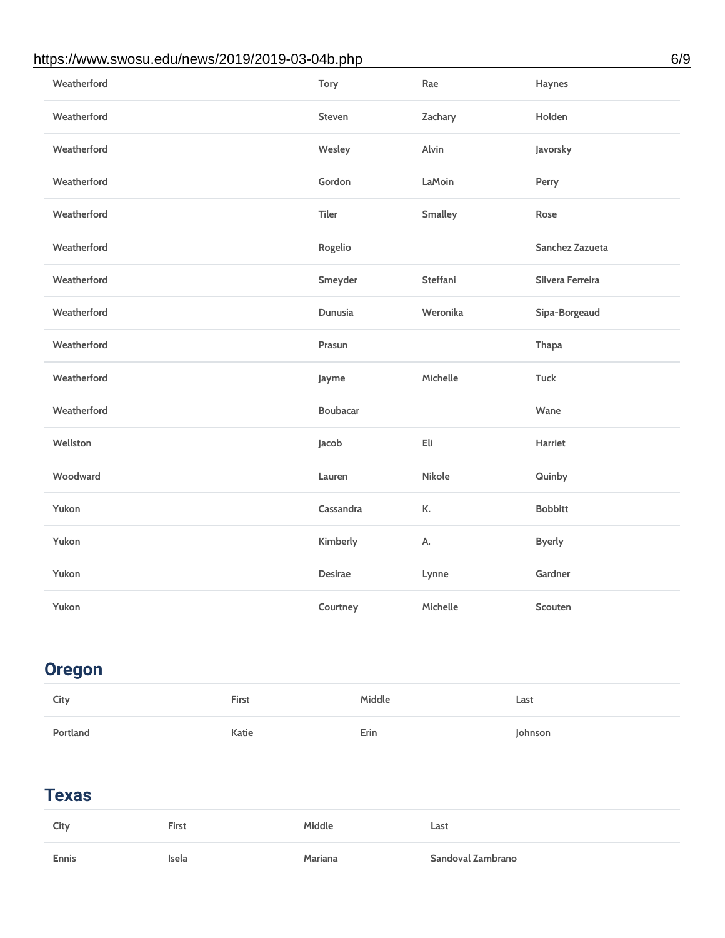#### https://www.swosu.edu/news/2019/2019-03-04b.php 6/9

| Weatherford | Tory            | Rae             | Haynes           |
|-------------|-----------------|-----------------|------------------|
| Weatherford | Steven          | Zachary         | Holden           |
| Weatherford | Wesley          | Alvin           | Javorsky         |
| Weatherford | Gordon          | LaMoin          | Perry            |
| Weatherford | <b>Tiler</b>    | <b>Smalley</b>  | Rose             |
| Weatherford | Rogelio         |                 | Sanchez Zazueta  |
| Weatherford | Smeyder         | <b>Steffani</b> | Silvera Ferreira |
| Weatherford | <b>Dunusia</b>  | Weronika        | Sipa-Borgeaud    |
| Weatherford | Prasun          |                 | Thapa            |
| Weatherford | Jayme           | Michelle        | Tuck             |
| Weatherford | <b>Boubacar</b> |                 | Wane             |
| Wellston    | Jacob           | Eli             | Harriet          |
| Woodward    | Lauren          | <b>Nikole</b>   | Quinby           |
| Yukon       | Cassandra       | К.              | <b>Bobbitt</b>   |
| Yukon       | Kimberly        | А.              | <b>Byerly</b>    |
| Yukon       | <b>Desirae</b>  | Lynne           | Gardner          |
| Yukon       | Courtney        | Michelle        | Scouten          |

# **Oregon**

| City     | First | Middle | Last   |
|----------|-------|--------|--------|
| Portland | Katie | Erin   | ohnson |

## **Texas**

| City  | First | Middle  | Last              |
|-------|-------|---------|-------------------|
| Ennis | Isela | Mariana | Sandoval Zambrano |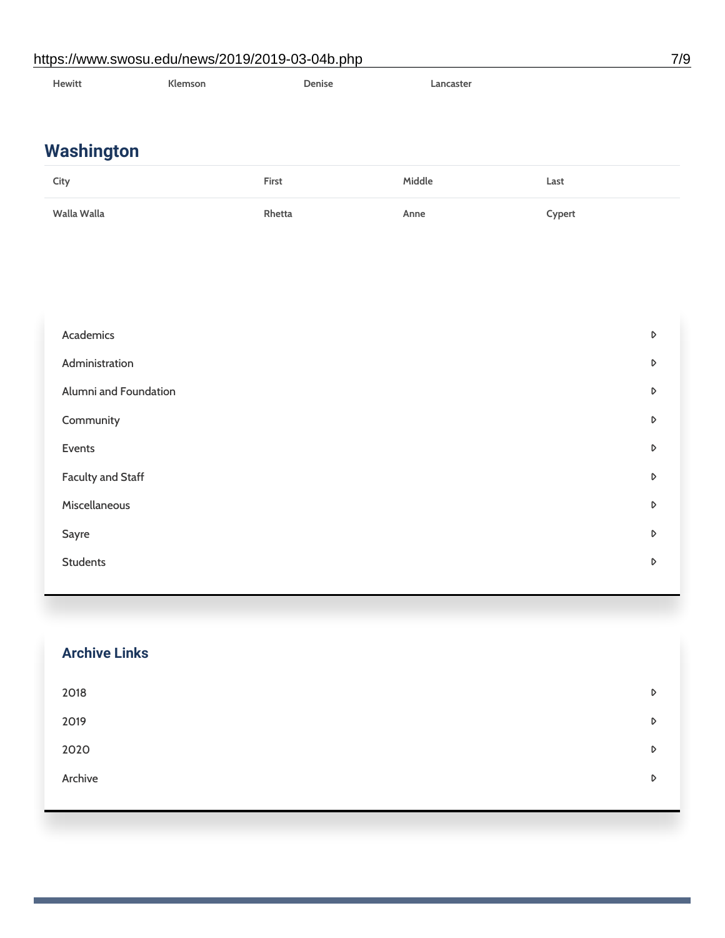#### https://www.swosu.edu/news/2019/2019-03-04b.php 7/9

| Hewitt | <b>Klemson</b> | Denise | Lancaster |
|--------|----------------|--------|-----------|
|        |                |        |           |

# **Washington**

| City        | First  | Middle | Last   |
|-------------|--------|--------|--------|
| Walla Walla | Rhetta | Anne   | Cypert |

| Academics             | D |
|-----------------------|---|
| Administration        | D |
| Alumni and Foundation | D |
| Community             | D |
| Events                | D |
| Faculty and Staff     | D |
| Miscellaneous         | D |
| Sayre                 | D |
| <b>Students</b>       | D |

| <b>Archive Links</b> |   |
|----------------------|---|
| 2018                 | D |
| 2019                 | D |
| 2020                 | D |
| Archive              | D |
|                      |   |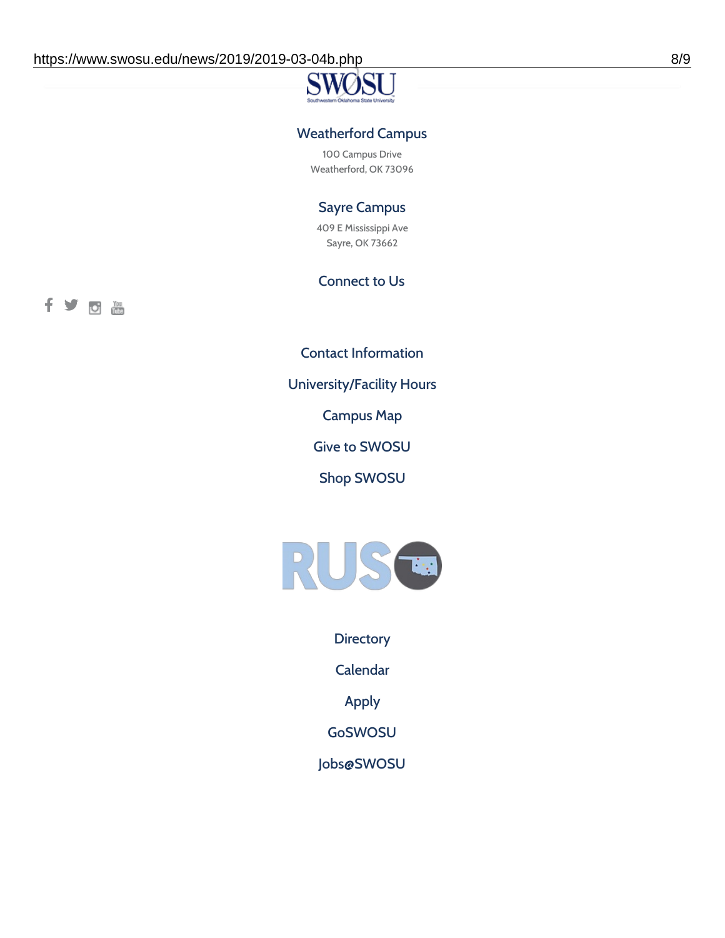#### Weatherford Campus

100 Campus Drive Weatherford, OK 73096

#### Sayre Campus

409 E Mississippi Ave Sayre, OK 73662

Connect to Us

f S'o The

Contact [Information](https://www.swosu.edu/about/contact.php)

[University/Facility](https://www.swosu.edu/about/operating-hours.php) Hours

[Campus](https://map.concept3d.com/?id=768#!ct/10964,10214,10213,10212,10205,10204,10203,10202,10136,10129,10128,0,31226,10130,10201,10641,0) Map

Give to [SWOSU](https://standingfirmly.com/donate)

Shop [SWOSU](https://shopswosu.merchorders.com/)



**[Directory](https://www.swosu.edu/directory/index.php)** 

[Calendar](https://eventpublisher.dudesolutions.com/swosu/)

[Apply](https://www.swosu.edu/admissions/apply-to-swosu.php)

[GoSWOSU](https://qlsso.quicklaunchsso.com/home/1267)

[Jobs@SWOSU](https://swosu.csod.com/ux/ats/careersite/1/home?c=swosu)